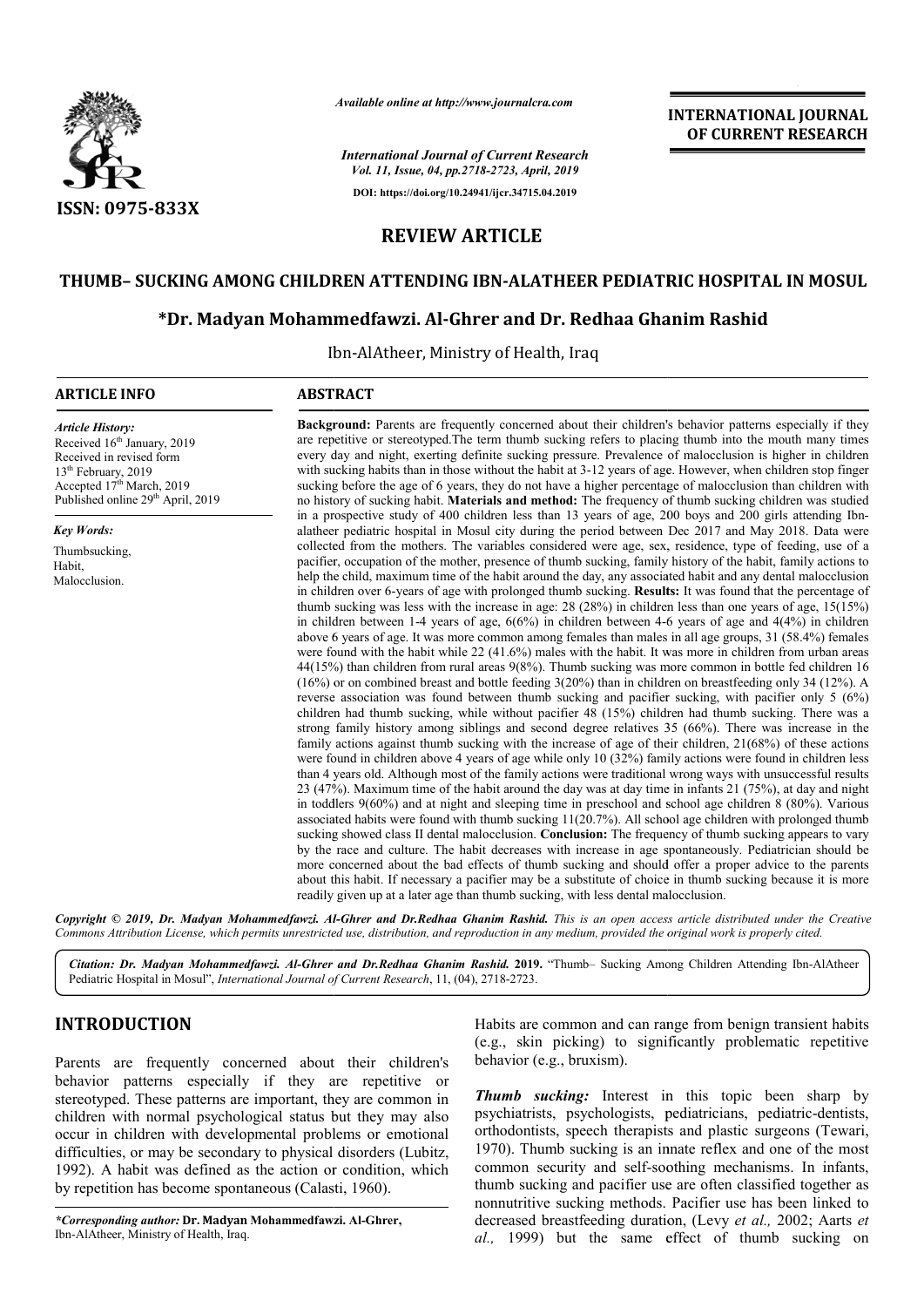

*Available online at http://www.journalcra.com*

*International Journal of Current Research Vol. 11, Issue, 04, pp.2718-2723, April, 2019* **DOI: https://doi.org/10.24941/ijcr.34715.04.2019**

**INTERNATIONAL JOURNAL OF CURRENT RESEARCH**

# **REVIEW ARTICLE**

# **THUMB– SUCKING AMONG CHILDREN ATTENDING IBN-ALATHEER PEDIATRIC HOSPITAL IN MOSUL**

# **\*Dr. Madyan Mohammedfawzi. Al-Ghrer and Dr. Redhaa Ghanim Rashid**

Ibn Ibn-AlAtheer, Ministry of Health, Iraq

#### **ARTICLE INFO ABSTRACT**

*Article History:* Received 16<sup>th</sup> January, 2019 Received in revised form 13<sup>th</sup> February, 2019 Accepted 17<sup>th</sup> March, 2019 Published online 29<sup>th</sup> April, 2019

*Key Words:*

Thumbsucking, Habit, Malocclusion.

**Background:** Parents are frequently concerned about their children's behavior patterns especially if they are repetitive or stereotyped. The term thumb sucking refers to placing thumb into the mouth many times every day and night, exerting definite sucking pressure. Prevalence of malocclusion is higher in children with sucking habits than in those without the habit at 3-12 years of age. However, when children stop finger sucking before the age of 6 years, they do not have a higher percentage of malocclusion than children with no history of sucking habit. **Materials and method:** The frequency of thumb sucking children was studied in a prospective study of 400 children less than 13 years of age, 200 boys and 200 girls attending Ibnalatheer pediatric hospital in Mosul city during the period between Dec 2017 and May 2018. Data were collected from the mothers. The variables considered were age, sex, residence, type of feeding, use of a pacifier, occupation of the mother, presence of thumb sucking, family history of the habit, family actions to help the child, maximum time of the habit around the day, any associated habit and any dental malocclusion in children over 6-years of age with prolonged thumb sucking. **Results:** It was found that the percentage of thumb sucking was less with the increase in age: 28 (28%) in children less than one years of age, 15(15%) in children between 1-4 years of age, 6(6%) in children between 4-6 6 years of age and 4(4%) in children above 6 years of age. It was more common among females than males in all age groups, 31 (58.4%) females were found with the habit while 22 (41.6%) males with the habit. It was more in children from urban areas 44(15%) than children from rural areas 9(8%). Thumb sucking was more common in bottle fed children 16 (16%) or on combined breast and bottle feeding 3(20%) than in children on breastfeeding only 34 (12%). A reverse association was found between thumb sucking and pacifier sucking, with pacifier only 5 (6%) children had thumb sucking, while without pacifier 48 (15%) children had thumb sucking. There was a strong family history among siblings and second degree relatives 35 (66%). There was increase in the family actions against thumb sucking with the increase of age of their children, 21(68%) of these actions were found in children above 4 years of age while only 10 (32%) family actions were found in children less than 4 years old. Although most of the family actions were traditional wrong ways with unsuccessful results 23 (47%). Maximum time of the habit around the day was at day time time in infants 21 (75%), at day and night in toddlers 9(60%) and at night and sleeping time in preschool and school age children 8 (80%). Various associated habits were found with thumb sucking 11(20.7%). All school age children with prolonged thumb sucking showed class II dental malocclusion. **Conclusion:** The frequency of thumb sucking appears to vary by the race and culture. The habit decreases with increase in age spontaneously. Pediatrician should be more concerned about the bad effects of thumb sucking and should offer a proper advice to the parents about this habit. If necessary a pacifier may be a substitute of choice in thumb sucking because it is more readily given up at a later age than thumb sucking, with less dental malocclusion.

Copyright © 2019, Dr. Madyan Mohammedfawzi. Al-Ghrer and Dr.Redhaa Ghanim Rashid. This is an open access article distributed under the Creative Commons Attribution License, which permits unrestricted use, distribution, and reproduction in any medium, provided the original work is properly cited.

*Citation: Dr. Madyan Mohammedfawzi. Al-Ghrer and Dr.Redhaa Ghanim Rashid.* **2019.** "Thumb– Sucking Among Among Children Attending Ibn-AlAtheerPediatric Hospital in Mosul", *International Journal of Current Research*, 11, (04), 2718-2723.

# **INTRODUCTION**

Parents are frequently concerned about their children's behavior patterns especially if they are repetitive or stereotyped. These patterns are important, they are common in children with normal psychological status but they may also occur in children with developmental problems or emotional difficulties, or may be secondary to physical disorders (Lubitz, 1992). A habit was defined as the action or condition, which by repetition has become spontaneous (Calasti Calasti, 1960).

*\*Corresponding author:* **Dr. Madyan Mohammedfawzi. Al Al-Ghrer,** Ibn-AlAtheer, Ministry of Health, Iraq.

Habits are common and can range from benign transient habits (e.g., skin picking) to significantly problematic repetitive behavior (e.g., bruxism).

*Thumb sucking:* Interest in this topic been sharp by psychiatrists, psychologists, pediatricians, pediatric-dentists, orthodontists, speech therapists and plastic surgeons (Tewari, 1970). Thumb sucking is an innate reflex and one of the most common security and self-soothing mechanisms. In infants, thumb sucking and pacifier use are often classified together as nonnutritive sucking methods. Pacifier use has been linked to decreased breastfeeding duration, (Levy et al., 2002; Aarts et *al.,* 1999) but the same effect of thumb sucking on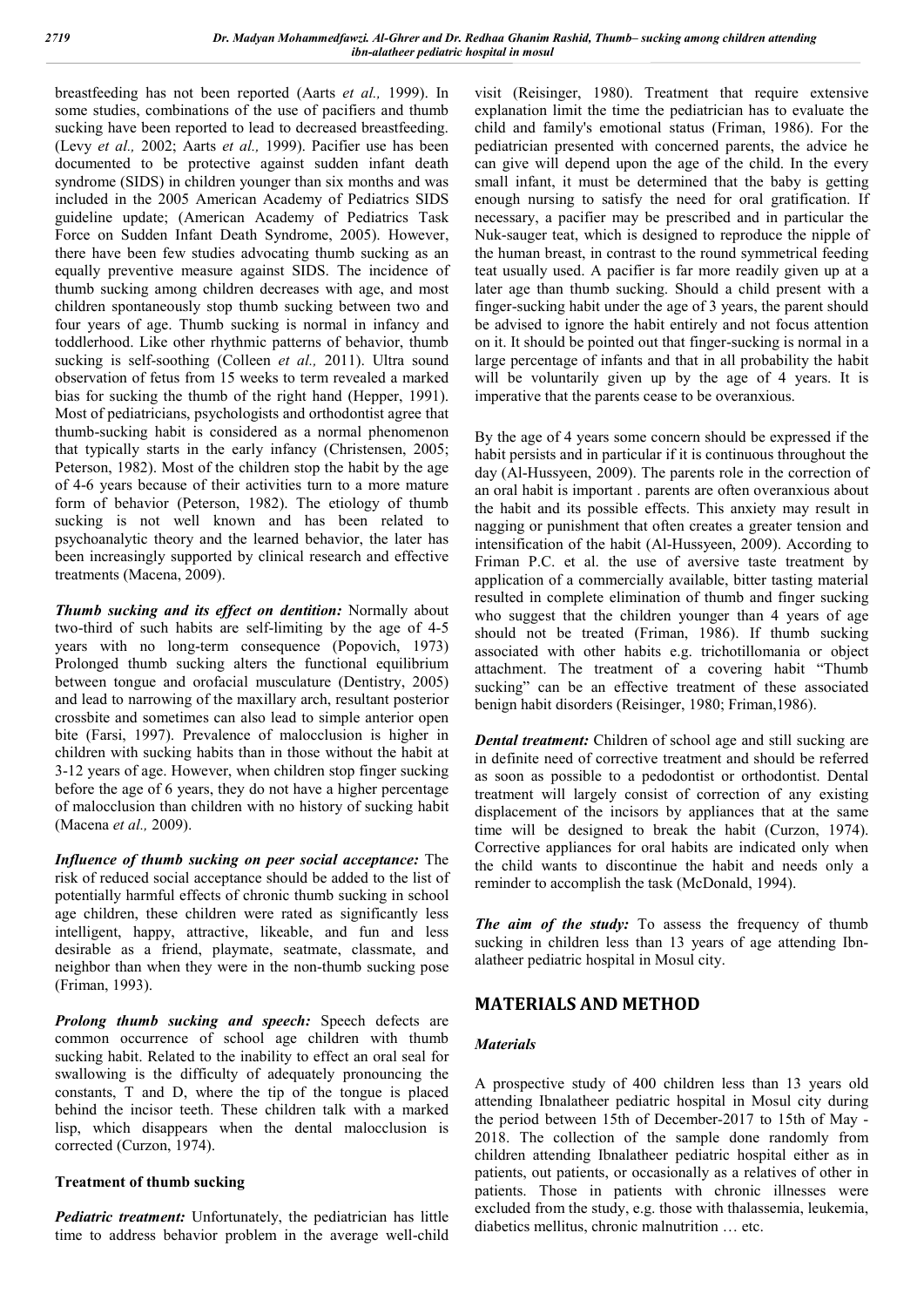breastfeeding has not been reported (Aarts *et al.,* 1999). In some studies, combinations of the use of pacifiers and thumb sucking have been reported to lead to decreased breastfeeding. (Levy *et al.,* 2002; Aarts *et al.,* 1999). Pacifier use has been documented to be protective against sudden infant death syndrome (SIDS) in children younger than six months and was included in the 2005 American Academy of Pediatrics SIDS guideline update; (American Academy of Pediatrics Task Force on Sudden Infant Death Syndrome, 2005). However, there have been few studies advocating thumb sucking as an equally preventive measure against SIDS. The incidence of thumb sucking among children decreases with age, and most children spontaneously stop thumb sucking between two and four years of age. Thumb sucking is normal in infancy and toddlerhood. Like other rhythmic patterns of behavior, thumb sucking is self-soothing (Colleen *et al.,* 2011). Ultra sound observation of fetus from 15 weeks to term revealed a marked bias for sucking the thumb of the right hand (Hepper, 1991). Most of pediatricians, psychologists and orthodontist agree that thumb-sucking habit is considered as a normal phenomenon that typically starts in the early infancy (Christensen, 2005; Peterson, 1982). Most of the children stop the habit by the age of 4-6 years because of their activities turn to a more mature form of behavior (Peterson, 1982). The etiology of thumb sucking is not well known and has been related to psychoanalytic theory and the learned behavior, the later has been increasingly supported by clinical research and effective treatments (Macena, 2009).

*Thumb sucking and its effect on dentition:* Normally about two-third of such habits are self-limiting by the age of 4-5 years with no long-term consequence (Popovich, 1973) Prolonged thumb sucking alters the functional equilibrium between tongue and orofacial musculature (Dentistry, 2005) and lead to narrowing of the maxillary arch, resultant posterior crossbite and sometimes can also lead to simple anterior open bite (Farsi, 1997). Prevalence of malocclusion is higher in children with sucking habits than in those without the habit at 3-12 years of age. However, when children stop finger sucking before the age of 6 years, they do not have a higher percentage of malocclusion than children with no history of sucking habit (Macena *et al.,* 2009).

*Influence of thumb sucking on peer social acceptance:* The risk of reduced social acceptance should be added to the list of potentially harmful effects of chronic thumb sucking in school age children, these children were rated as significantly less intelligent, happy, attractive, likeable, and fun and less desirable as a friend, playmate, seatmate, classmate, and neighbor than when they were in the non-thumb sucking pose (Friman, 1993).

*Prolong thumb sucking and speech:* Speech defects are common occurrence of school age children with thumb sucking habit. Related to the inability to effect an oral seal for swallowing is the difficulty of adequately pronouncing the constants, T and D, where the tip of the tongue is placed behind the incisor teeth. These children talk with a marked lisp, which disappears when the dental malocclusion is corrected (Curzon, 1974).

## **Treatment of thumb sucking**

*Pediatric treatment:* Unfortunately, the pediatrician has little time to address behavior problem in the average well-child visit (Reisinger, 1980). Treatment that require extensive explanation limit the time the pediatrician has to evaluate the child and family's emotional status (Friman, 1986). For the pediatrician presented with concerned parents, the advice he can give will depend upon the age of the child. In the every small infant, it must be determined that the baby is getting enough nursing to satisfy the need for oral gratification. If necessary, a pacifier may be prescribed and in particular the Nuk-sauger teat, which is designed to reproduce the nipple of the human breast, in contrast to the round symmetrical feeding teat usually used. A pacifier is far more readily given up at a later age than thumb sucking. Should a child present with a finger-sucking habit under the age of 3 years, the parent should be advised to ignore the habit entirely and not focus attention on it. It should be pointed out that finger-sucking is normal in a large percentage of infants and that in all probability the habit will be voluntarily given up by the age of 4 years. It is imperative that the parents cease to be overanxious.

By the age of 4 years some concern should be expressed if the habit persists and in particular if it is continuous throughout the day (Al-Hussyeen, 2009). The parents role in the correction of an oral habit is important . parents are often overanxious about the habit and its possible effects. This anxiety may result in nagging or punishment that often creates a greater tension and intensification of the habit (Al-Hussyeen, 2009). According to Friman P.C. et al. the use of aversive taste treatment by application of a commercially available, bitter tasting material resulted in complete elimination of thumb and finger sucking who suggest that the children younger than 4 years of age should not be treated (Friman, 1986). If thumb sucking associated with other habits e.g. trichotillomania or object attachment. The treatment of a covering habit "Thumb sucking" can be an effective treatment of these associated benign habit disorders (Reisinger, 1980; Friman,1986).

*Dental treatment:* Children of school age and still sucking are in definite need of corrective treatment and should be referred as soon as possible to a pedodontist or orthodontist. Dental treatment will largely consist of correction of any existing displacement of the incisors by appliances that at the same time will be designed to break the habit (Curzon, 1974). Corrective appliances for oral habits are indicated only when the child wants to discontinue the habit and needs only a reminder to accomplish the task (McDonald, 1994).

*The aim of the study:* To assess the frequency of thumb sucking in children less than 13 years of age attending Ibnalatheer pediatric hospital in Mosul city.

# **MATERIALS AND METHOD**

## *Materials*

A prospective study of 400 children less than 13 years old attending Ibnalatheer pediatric hospital in Mosul city during the period between 15th of December-2017 to 15th of May - 2018. The collection of the sample done randomly from children attending Ibnalatheer pediatric hospital either as in patients, out patients, or occasionally as a relatives of other in patients. Those in patients with chronic illnesses were excluded from the study, e.g. those with thalassemia, leukemia, diabetics mellitus, chronic malnutrition … etc.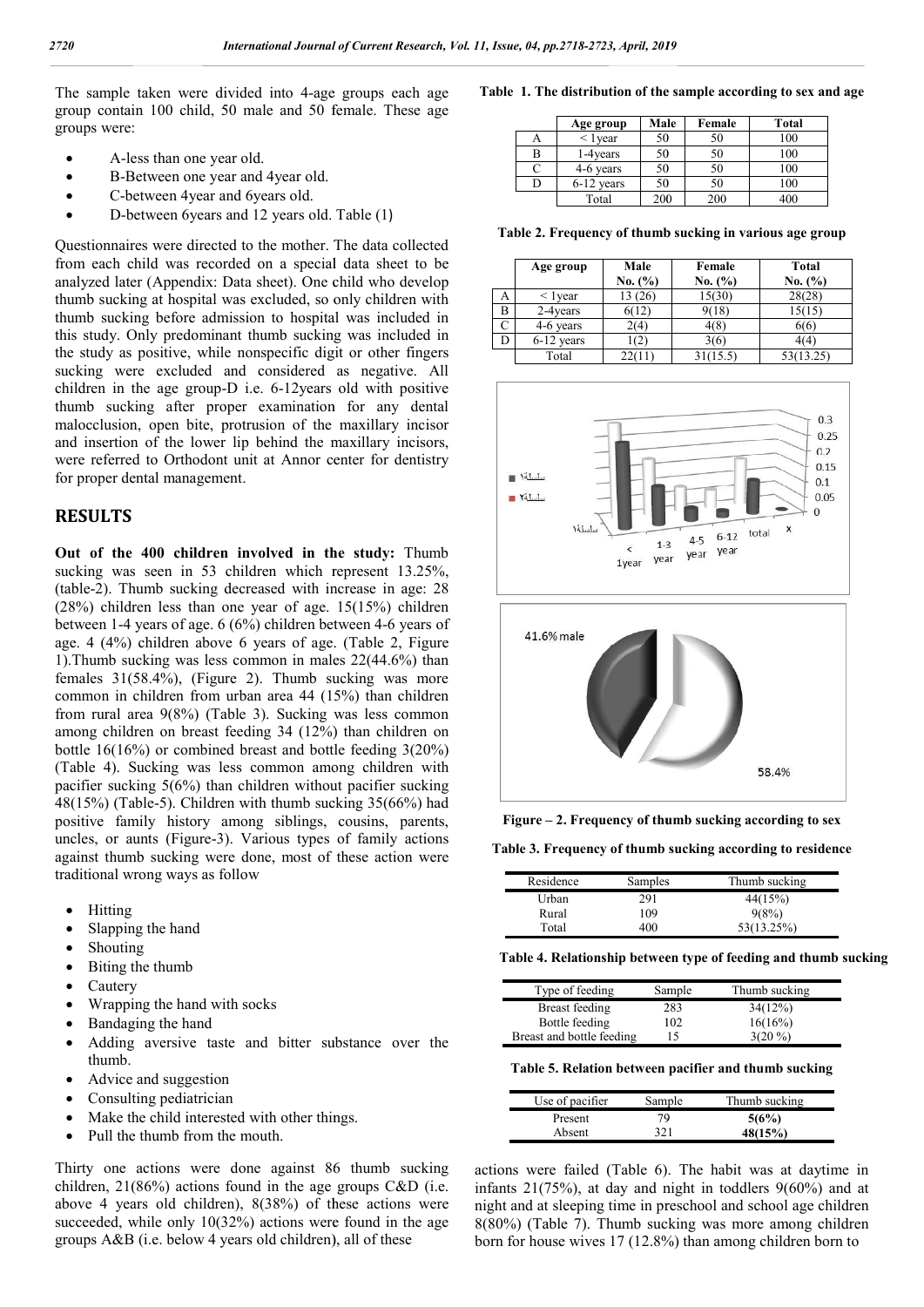The sample taken were divided into 4-age groups each age group contain 100 child, 50 male and 50 female. These age groups were:

- A-less than one year old.
- B-Between one year and 4year old.
- C-between 4year and 6years old.
- D-between 6years and 12 years old. Table (1)

Questionnaires were directed to the mother. The data collected from each child was recorded on a special data sheet to be analyzed later (Appendix: Data sheet). One child who develop thumb sucking at hospital was excluded, so only children with thumb sucking before admission to hospital was included in this study. Only predominant thumb sucking was included in the study as positive, while nonspecific digit or other fingers sucking were excluded and considered as negative. All children in the age group-D i.e. 6-12 years old with positive children in the age group-D i.e. 6-12years old with positive thumb sucking after proper examination for any dental malocclusion, open bite, protrusion of the maxillary incisor and insertion of the lower lip behind the maxillary incisors, were referred to Orthodont unit at Annor center for dentistry for proper dental management.

## **RESULTS**

**Out of the 400 children involved in the study:** Thumb sucking was seen in 53 children which represent 13.25%, (table-2). Thumb sucking decreased with increase in age: 28 (28%) children less than one year of age. 15(15%) children between 1-4 years of age. 6 (6%) children between 4-6 years of age. 4 (4%) children above 6 years of age. (Table 2, Figure 1).Thumb sucking was less common in males 22(44.6%) than females 31(58.4%), (Figure 2). Thumb sucking was more common in children from urban area 44 (15%) than children from rural area 9(8%) (Table 3). Sucking was less common among children on breast feeding 34 (12%) than children on bottle 16(16%) or combined breast and bottle feeding 3(20%) (Table 4). Sucking was less common among children with pacifier sucking 5(6%) than children without pacifier sucking 48(15%) (Table-5). Children with thumb sucking 35(66%) had positive family history among siblings, cousins, parents, uncles, or aunts (Figure-3). Various types of family actions against thumb sucking were done, most of these action were traditional wrong ways as follow

- Hitting
- Slapping the hand
- Shouting
- Biting the thumb
- Cautery
- Wrapping the hand with socks
- Bandaging the hand
- Adding aversive taste and bitter substance over the thumb.
- Advice and suggestion
- Consulting pediatrician
- Make the child interested with other things.
- Pull the thumb from the mouth.

Thirty one actions were done against 86 thumb sucking children, 21(86%) actions found in the age groups C&D (i.e. above 4 years old children), 8(38%) of these actions were succeeded, while only 10(32%) actions were found in the age groups A&B (i.e. below 4 years old children), all of these

Table 1. The distribution of the sample according to sex and age

|   | Age group     | Male | Female | <b>Total</b> |
|---|---------------|------|--------|--------------|
|   | $\leq 1$ vear | 50   | 50     | 100          |
| в | 1-4 years     | 50   | 50     | 100          |
|   | 4-6 years     | 50   | 50     | 100          |
|   | $6-12$ years  | 50   | 50     | 100          |
|   | Total         | 200  | 200    | 400          |

|   | Table 2. Frequency of thumb sucking in various age group |                 |                   |                         |  |  |  |
|---|----------------------------------------------------------|-----------------|-------------------|-------------------------|--|--|--|
|   | Age group                                                | Male<br>No. (%) | Female<br>No. (%) | <b>Total</b><br>No. (%) |  |  |  |
| А | $\langle$ 1 year                                         | 13 (26)         | 15(30)            | 28(28)                  |  |  |  |
| B | 2-4 years                                                | 6(12)           | 9(18)             | 15(15)                  |  |  |  |
| C | 4-6 years                                                | 2(4)            | 4(8)              | 6(6)                    |  |  |  |
| D | 6-12 years                                               | (2)             | 3(6)              | 4(4)                    |  |  |  |
|   | Total                                                    | 22(11)          | 31(15.5)          | 53(13.25)               |  |  |  |





**Figure – 2. Frequency of thumb sucking according to sex**

**Table 3. Frequency of thumb sucking according to residence**

| Residence | Samples | Thumb sucking |
|-----------|---------|---------------|
| Urban     | 291     | 44(15%)       |
| Rural     | 109     | 9(8%)         |
| Total     | 400     | 53(13.25%)    |

**Table 4. Relationship between type of feeding and thumb sucking**

| Type of feeding           | Sample | Thumb sucking |  |
|---------------------------|--------|---------------|--|
| Breast feeding            | 283    | 34(12%)       |  |
| Bottle feeding            | 102    | 16(16%)       |  |
| Breast and bottle feeding | 15     | $3(20\%)$     |  |

Table 5. Relation between pacifier and thumb sucking

| Use of pacifier | Sample | Thumb sucking |  |
|-----------------|--------|---------------|--|
| Present         | 79     | 5(6%)         |  |
| Absent          | 321    | 48(15%)       |  |

actions were failed (Table 6). The habit was at daytime in infants 21(75%), at day and night in toddlers 9(60%) and at night and at sleeping time in preschool and school age children 8(80%) (Table 7). Thumb sucking was more among children born for house wives 17 (12.8%) than among children born to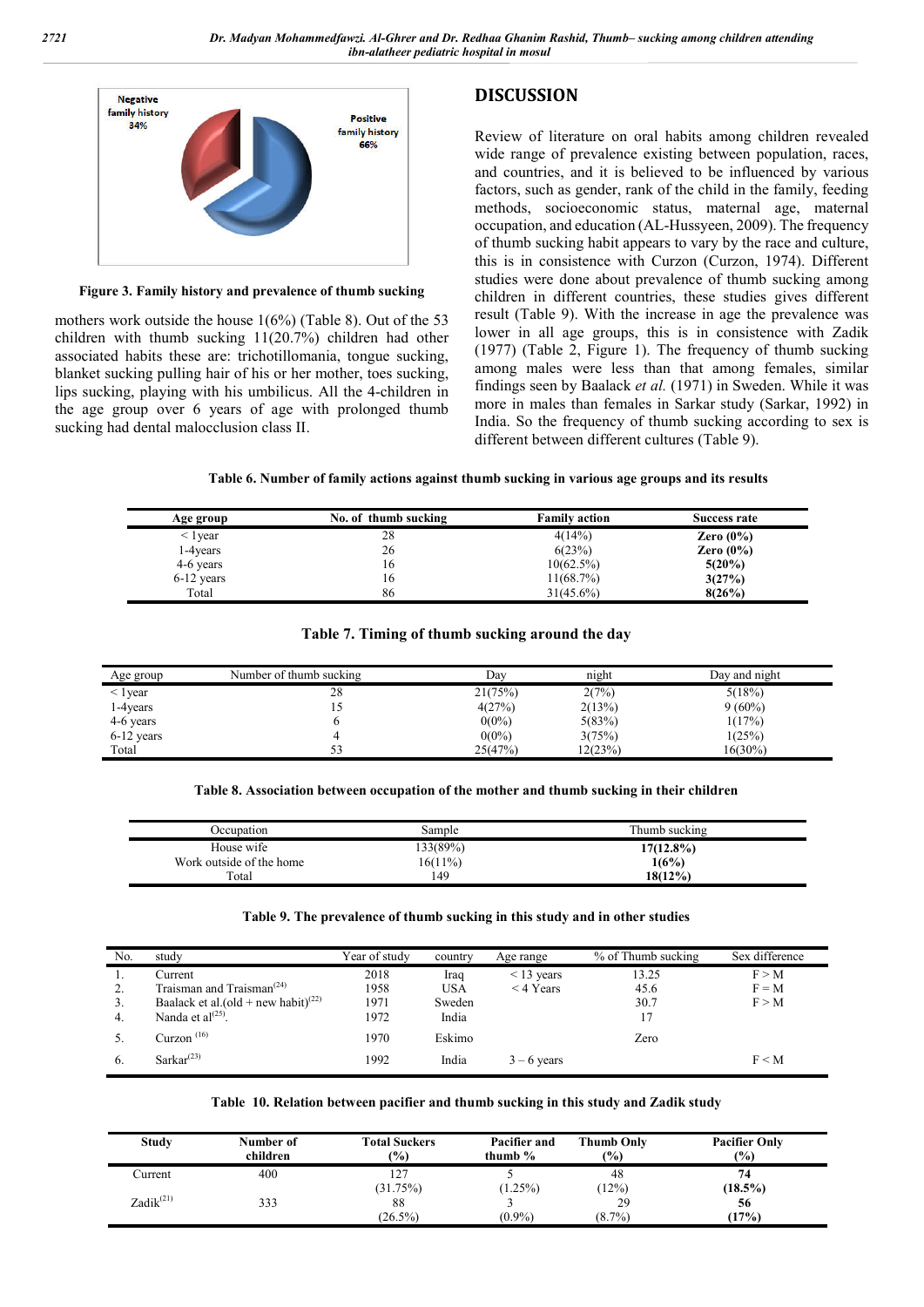**DISCUSSION**



**Figure 3. Family history and prevalence of thumb sucking**

mothers work outside the house 1(6%) (Table 8). Out of the 53 children with thumb sucking 11(20.7%) children had other associated habits these are: trichotillomania, tongue sucking, blanket sucking pulling hair of his or her mother, toes sucking, lips sucking, playing with his umbilicus. All the 4-children in the age group over 6 years of age with prolonged thumb sucking had dental malocclusion class II.

Review of literature on oral habits among children revealed wide range of prevalence existing between population, races, and countries, and it is believed to be influenced by various factors, such as gender, rank of the child in the family, feeding methods, socioeconomic status, maternal age, maternal occupation, and education (AL-Hussyeen, 2009). The frequency of thumb sucking habit appears to vary by the race and culture, this is in consistence with Curzon (Curzon, 1974). Different studies were done about prevalence of thumb sucking among children in different countries, these studies gives different result (Table 9). With the increase in age the prevalence was lower in all age groups, this is in consistence with Zadik (1977) (Table 2, Figure 1). The frequency of thumb sucking among males were less than that among females, similar findings seen by Baalack *et al.* (1971) in Sweden. While it was more in males than females in Sarkar study (Sarkar, 1992) in India. So the frequency of thumb sucking according to sex is different between different cultures (Table 9).

**Table 6. Number of family actions against thumb sucking in various age groups and its results**

| Age group     | No. of thumb sucking | <b>Family action</b> | <b>Success rate</b> |
|---------------|----------------------|----------------------|---------------------|
| $\leq$ 1 vear | 28                   | 4(14%)               | Zero $(0\%)$        |
| 1-4 years     | 26                   | 6(23%)               | Zero $(0\%)$        |
| 4-6 years     | 16                   | $10(62.5\%)$         | $5(20\%)$           |
| $6-12$ years  | 16                   | 11(68.7%)            | 3(27%)              |
| Total         | 86                   | $31(45.6\%)$         | 8(26%)              |

## **Table 7. Timing of thumb sucking around the day**

| Age group        | Number of thumb sucking | Day      | night   | Day and night |
|------------------|-------------------------|----------|---------|---------------|
| $\langle$ 1 year | 28                      | 21(75%)  | 2(7%)   | 5(18%)        |
| 1-4years         | IJ                      | 4(27%)   | 2(13%)  | $9(60\%)$     |
| 4-6 years        |                         | $0(0\%)$ | 5(83%)  | 1(17%)        |
| $6-12$ years     |                         | $0(0\%)$ | 3(75%)  | 1(25%)        |
| Total            |                         | 25(47%)  | 12(23%) | 16(30%)       |

**Table 8. Association between occupation of the mother and thumb sucking in their children**

| Occupation               | Sample   | Thumb sucking |
|--------------------------|----------|---------------|
| House wife               | 133(89%) | 17(12.8%)     |
| Work outside of the home | 16(11%)  | 1(6%)         |
| Total                    | 149      | $18(12\%)$    |

#### **Table 9. The prevalence of thumb sucking in this study and in other studies**

| No. | study                                              | Year of studv | country    | Age range       | % of Thumb sucking | Sex difference |
|-----|----------------------------------------------------|---------------|------------|-----------------|--------------------|----------------|
| .,  | Current                                            | 2018          | Iraq       | $\leq$ 13 years | 13.25              | F > M          |
| ۷.  | Traisman and Traisman <sup><math>(24)</math></sup> | 1958          | <b>USA</b> | $<$ 4 Years     | 45.6               | $F = M$        |
| 3.  | Baalack et al.(old + new habit) <sup>(22)</sup>    | 1971          | Sweden     |                 | 30.7               | F > M          |
| 4.  | Nanda et $al^{(25)}$ .                             | 1972          | India      |                 | 17                 |                |
|     | Curzon <sup>(16)</sup>                             | 1970          | Eskimo     |                 | Zero               |                |
| 6.  | Sarkar <sup>(23)</sup>                             | 1992          | India      | $3 - 6$ years   |                    | $F \leq M$     |

#### **Table 10. Relation between pacifier and thumb sucking in this study and Zadik study**

| <b>Study</b>          | Number of<br>children | <b>Total Suckers</b><br>(%) | Pacifier and<br>thumb $\%$ | <b>Thumb Only</b><br>(%) | <b>Pacifier Only</b><br>$\frac{9}{6}$ |
|-----------------------|-----------------------|-----------------------------|----------------------------|--------------------------|---------------------------------------|
| Current               | 400                   | 127                         |                            | 48                       | 74                                    |
|                       |                       | (31.75%)                    | $(1.25\%)$                 | (12%)                    | $(18.5\%)$                            |
| Zadik <sup>(21)</sup> | 333                   | 88                          |                            | 29                       | 56                                    |
|                       |                       | $(26.5\%)$                  | $(0.9\%)$                  | $(8.7\%)$                | (17%)                                 |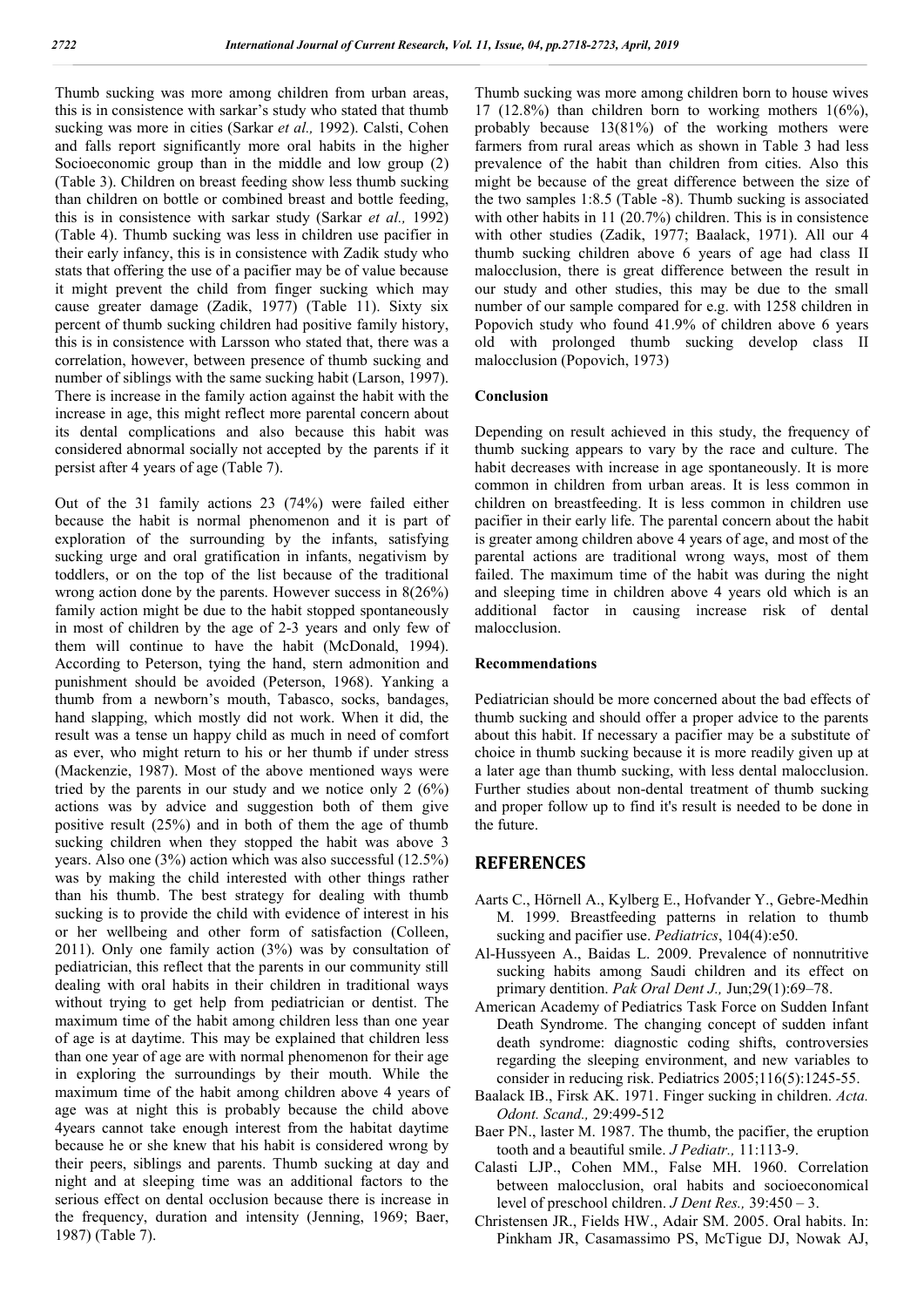Thumb sucking was more among children from urban areas, this is in consistence with sarkar's study who stated that thumb sucking was more in cities (Sarkar *et al.,* 1992). Calsti, Cohen and falls report significantly more oral habits in the higher Socioeconomic group than in the middle and low group (2) (Table 3). Children on breast feeding show less thumb sucking than children on bottle or combined breast and bottle feeding, this is in consistence with sarkar study (Sarkar *et al.,* 1992) (Table 4). Thumb sucking was less in children use pacifier in their early infancy, this is in consistence with Zadik study who stats that offering the use of a pacifier may be of value because it might prevent the child from finger sucking which may cause greater damage (Zadik, 1977) (Table 11). Sixty six percent of thumb sucking children had positive family history, this is in consistence with Larsson who stated that, there was a correlation, however, between presence of thumb sucking and number of siblings with the same sucking habit (Larson, 1997). There is increase in the family action against the habit with the increase in age, this might reflect more parental concern about its dental complications and also because this habit was considered abnormal socially not accepted by the parents if it persist after 4 years of age (Table 7).

Out of the 31 family actions 23 (74%) were failed either because the habit is normal phenomenon and it is part of exploration of the surrounding by the infants, satisfying sucking urge and oral gratification in infants, negativism by toddlers, or on the top of the list because of the traditional wrong action done by the parents. However success in 8(26%) family action might be due to the habit stopped spontaneously in most of children by the age of 2-3 years and only few of them will continue to have the habit (McDonald, 1994). According to Peterson, tying the hand, stern admonition and punishment should be avoided (Peterson, 1968). Yanking a thumb from a newborn's mouth, Tabasco, socks, bandages, hand slapping, which mostly did not work. When it did, the result was a tense un happy child as much in need of comfort as ever, who might return to his or her thumb if under stress (Mackenzie, 1987). Most of the above mentioned ways were tried by the parents in our study and we notice only 2 (6%) actions was by advice and suggestion both of them give positive result (25%) and in both of them the age of thumb sucking children when they stopped the habit was above 3 years. Also one (3%) action which was also successful (12.5%) was by making the child interested with other things rather than his thumb. The best strategy for dealing with thumb sucking is to provide the child with evidence of interest in his or her wellbeing and other form of satisfaction (Colleen, 2011). Only one family action (3%) was by consultation of pediatrician, this reflect that the parents in our community still dealing with oral habits in their children in traditional ways without trying to get help from pediatrician or dentist. The maximum time of the habit among children less than one year of age is at daytime. This may be explained that children less than one year of age are with normal phenomenon for their age in exploring the surroundings by their mouth. While the maximum time of the habit among children above 4 years of age was at night this is probably because the child above 4years cannot take enough interest from the habitat daytime because he or she knew that his habit is considered wrong by their peers, siblings and parents. Thumb sucking at day and night and at sleeping time was an additional factors to the serious effect on dental occlusion because there is increase in the frequency, duration and intensity (Jenning, 1969; Baer, 1987) (Table 7).

Thumb sucking was more among children born to house wives 17 (12.8%) than children born to working mothers 1(6%), probably because 13(81%) of the working mothers were farmers from rural areas which as shown in Table 3 had less prevalence of the habit than children from cities. Also this might be because of the great difference between the size of the two samples 1:8.5 (Table -8). Thumb sucking is associated with other habits in 11 (20.7%) children. This is in consistence with other studies (Zadik, 1977; Baalack, 1971). All our 4 thumb sucking children above 6 years of age had class II malocclusion, there is great difference between the result in our study and other studies, this may be due to the small number of our sample compared for e.g. with 1258 children in Popovich study who found 41.9% of children above 6 years old with prolonged thumb sucking develop class II malocclusion (Popovich, 1973)

### **Conclusion**

Depending on result achieved in this study, the frequency of thumb sucking appears to vary by the race and culture. The habit decreases with increase in age spontaneously. It is more common in children from urban areas. It is less common in children on breastfeeding. It is less common in children use pacifier in their early life. The parental concern about the habit is greater among children above 4 years of age, and most of the parental actions are traditional wrong ways, most of them failed. The maximum time of the habit was during the night and sleeping time in children above 4 years old which is an additional factor in causing increase risk of dental malocclusion.

#### **Recommendations**

Pediatrician should be more concerned about the bad effects of thumb sucking and should offer a proper advice to the parents about this habit. If necessary a pacifier may be a substitute of choice in thumb sucking because it is more readily given up at a later age than thumb sucking, with less dental malocclusion. Further studies about non-dental treatment of thumb sucking and proper follow up to find it's result is needed to be done in the future.

## **REFERENCES**

- Aarts C., Hörnell A., Kylberg E., Hofvander Y., Gebre-Medhin M. 1999. Breastfeeding patterns in relation to thumb sucking and pacifier use. *Pediatrics*, 104(4):e50.
- Al-Hussyeen A., Baidas L. 2009. Prevalence of nonnutritive sucking habits among Saudi children and its effect on primary dentition. *Pak Oral Dent J.,* Jun;29(1):69–78.
- American Academy of Pediatrics Task Force on Sudden Infant Death Syndrome. The changing concept of sudden infant death syndrome: diagnostic coding shifts, controversies regarding the sleeping environment, and new variables to consider in reducing risk. Pediatrics 2005;116(5):1245-55.
- Baalack IB., Firsk AK. 1971. Finger sucking in children. *Acta. Odont. Scand.,* 29:499-512
- Baer PN., laster M. 1987. The thumb, the pacifier, the eruption tooth and a beautiful smile. *J Pediatr.,* 11:113-9.
- Calasti LJP., Cohen MM., False MH. 1960. Correlation between malocclusion, oral habits and socioeconomical level of preschool children. *J Dent Res.,* 39:450 – 3.
- Christensen JR., Fields HW., Adair SM. 2005. Oral habits. In: Pinkham JR, Casamassimo PS, McTigue DJ, Nowak AJ,